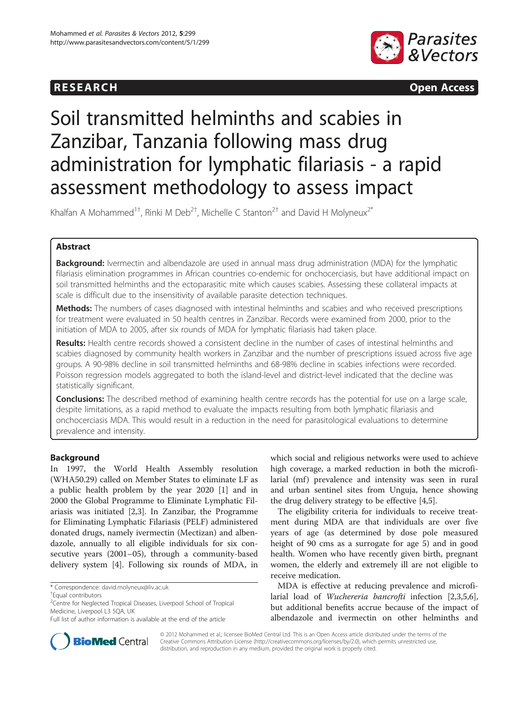# **RESEARCH RESEARCH CONSUMING ACCESS**



# Soil transmitted helminths and scabies in Zanzibar, Tanzania following mass drug administration for lymphatic filariasis - a rapid assessment methodology to assess impact

Khalfan A Mohammed<sup>1†</sup>, Rinki M Deb<sup>2†</sup>, Michelle C Stanton<sup>2†</sup> and David H Molyneux<sup>2\*</sup>

# Abstract

**Background:** Ivermectin and albendazole are used in annual mass drug administration (MDA) for the lymphatic filariasis elimination programmes in African countries co-endemic for onchocerciasis, but have additional impact on soil transmitted helminths and the ectoparasitic mite which causes scabies. Assessing these collateral impacts at scale is difficult due to the insensitivity of available parasite detection techniques.

Methods: The numbers of cases diagnosed with intestinal helminths and scabies and who received prescriptions for treatment were evaluated in 50 health centres in Zanzibar. Records were examined from 2000, prior to the initiation of MDA to 2005, after six rounds of MDA for lymphatic filariasis had taken place.

Results: Health centre records showed a consistent decline in the number of cases of intestinal helminths and scabies diagnosed by community health workers in Zanzibar and the number of prescriptions issued across five age groups. A 90-98% decline in soil transmitted helminths and 68-98% decline in scabies infections were recorded. Poisson regression models aggregated to both the island-level and district-level indicated that the decline was statistically significant.

**Conclusions:** The described method of examining health centre records has the potential for use on a large scale, despite limitations, as a rapid method to evaluate the impacts resulting from both lymphatic filariasis and onchocerciasis MDA. This would result in a reduction in the need for parasitological evaluations to determine prevalence and intensity.

# Background

In 1997, the World Health Assembly resolution (WHA50.29) called on Member States to eliminate LF as a public health problem by the year 2020 [\[1](#page-7-0)] and in 2000 the Global Programme to Eliminate Lymphatic Filariasis was initiated [[2,3\]](#page-7-0). In Zanzibar, the Programme for Eliminating Lymphatic Filariasis (PELF) administered donated drugs, namely ivermectin (Mectizan) and albendazole, annually to all eligible individuals for six consecutive years (2001–05), through a community-based delivery system [\[4](#page-7-0)]. Following six rounds of MDA, in

which social and religious networks were used to achieve high coverage, a marked reduction in both the microfilarial (mf) prevalence and intensity was seen in rural and urban sentinel sites from Unguja, hence showing the drug delivery strategy to be effective [\[4,5](#page-7-0)].

The eligibility criteria for individuals to receive treatment during MDA are that individuals are over five years of age (as determined by dose pole measured height of 90 cms as a surrogate for age 5) and in good health. Women who have recently given birth, pregnant women, the elderly and extremely ill are not eligible to receive medication.

MDA is effective at reducing prevalence and microfilarial load of *Wuchereria bancrofti* infection [\[2,3,5,6](#page-7-0)], but additional benefits accrue because of the impact of albendazole and ivermectin on other helminths and



© 2012 Mohammed et al.; licensee BioMed Central Ltd. This is an Open Access article distributed under the terms of the Creative Commons Attribution License (<http://creativecommons.org/licenses/by/2.0>), which permits unrestricted use, distribution, and reproduction in any medium, provided the original work is properly cited.

<sup>\*</sup> Correspondence: [david.molyneux@liv.ac.uk](mailto:david.molyneux@liv.ac.uk) †

Equal contributors

<sup>&</sup>lt;sup>2</sup>Centre for Neglected Tropical Diseases, Liverpool School of Tropical Medicine, Liverpool L3 5QA, UK

Full list of author information is available at the end of the article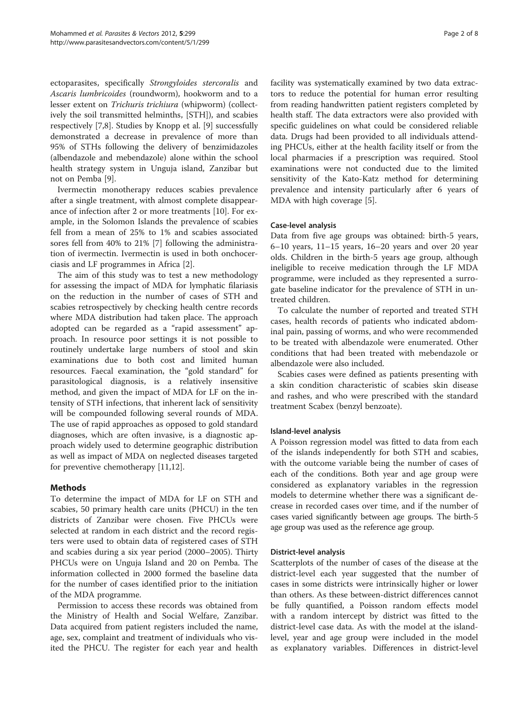ectoparasites, specifically Strongyloides stercoralis and Ascaris lumbricoides (roundworm), hookworm and to a lesser extent on Trichuris trichiura (whipworm) (collectively the soil transmitted helminths, [STH]), and scabies respectively [\[7,8](#page-7-0)]. Studies by Knopp et al. [[9\]](#page-7-0) successfully demonstrated a decrease in prevalence of more than 95% of STHs following the delivery of benzimidazoles (albendazole and mebendazole) alone within the school health strategy system in Unguja island, Zanzibar but not on Pemba [[9](#page-7-0)].

Ivermectin monotherapy reduces scabies prevalence after a single treatment, with almost complete disappearance of infection after 2 or more treatments [[10\]](#page-7-0). For example, in the Solomon Islands the prevalence of scabies fell from a mean of 25% to 1% and scabies associated sores fell from 40% to 21% [[7\]](#page-7-0) following the administration of ivermectin. Ivermectin is used in both onchocerciasis and LF programmes in Africa [[2\]](#page-7-0).

The aim of this study was to test a new methodology for assessing the impact of MDA for lymphatic filariasis on the reduction in the number of cases of STH and scabies retrospectively by checking health centre records where MDA distribution had taken place. The approach adopted can be regarded as a "rapid assessment" approach. In resource poor settings it is not possible to routinely undertake large numbers of stool and skin examinations due to both cost and limited human resources. Faecal examination, the "gold standard" for parasitological diagnosis, is a relatively insensitive method, and given the impact of MDA for LF on the intensity of STH infections, that inherent lack of sensitivity will be compounded following several rounds of MDA. The use of rapid approaches as opposed to gold standard diagnoses, which are often invasive, is a diagnostic approach widely used to determine geographic distribution as well as impact of MDA on neglected diseases targeted for preventive chemotherapy [[11,12\]](#page-7-0).

# Methods

To determine the impact of MDA for LF on STH and scabies, 50 primary health care units (PHCU) in the ten districts of Zanzibar were chosen. Five PHCUs were selected at random in each district and the record registers were used to obtain data of registered cases of STH and scabies during a six year period (2000–2005). Thirty PHCUs were on Unguja Island and 20 on Pemba. The information collected in 2000 formed the baseline data for the number of cases identified prior to the initiation of the MDA programme.

Permission to access these records was obtained from the Ministry of Health and Social Welfare, Zanzibar. Data acquired from patient registers included the name, age, sex, complaint and treatment of individuals who visited the PHCU. The register for each year and health facility was systematically examined by two data extractors to reduce the potential for human error resulting from reading handwritten patient registers completed by health staff. The data extractors were also provided with specific guidelines on what could be considered reliable data. Drugs had been provided to all individuals attending PHCUs, either at the health facility itself or from the local pharmacies if a prescription was required. Stool examinations were not conducted due to the limited sensitivity of the Kato-Katz method for determining prevalence and intensity particularly after 6 years of MDA with high coverage [\[5](#page-7-0)].

# Case-level analysis

Data from five age groups was obtained: birth-5 years, 6–10 years, 11–15 years, 16–20 years and over 20 year olds. Children in the birth-5 years age group, although ineligible to receive medication through the LF MDA programme, were included as they represented a surrogate baseline indicator for the prevalence of STH in untreated children.

To calculate the number of reported and treated STH cases, health records of patients who indicated abdominal pain, passing of worms, and who were recommended to be treated with albendazole were enumerated. Other conditions that had been treated with mebendazole or albendazole were also included.

Scabies cases were defined as patients presenting with a skin condition characteristic of scabies skin disease and rashes, and who were prescribed with the standard treatment Scabex (benzyl benzoate).

# Island-level analysis

A Poisson regression model was fitted to data from each of the islands independently for both STH and scabies, with the outcome variable being the number of cases of each of the conditions. Both year and age group were considered as explanatory variables in the regression models to determine whether there was a significant decrease in recorded cases over time, and if the number of cases varied significantly between age groups. The birth-5 age group was used as the reference age group.

# District-level analysis

Scatterplots of the number of cases of the disease at the district-level each year suggested that the number of cases in some districts were intrinsically higher or lower than others. As these between-district differences cannot be fully quantified, a Poisson random effects model with a random intercept by district was fitted to the district-level case data. As with the model at the islandlevel, year and age group were included in the model as explanatory variables. Differences in district-level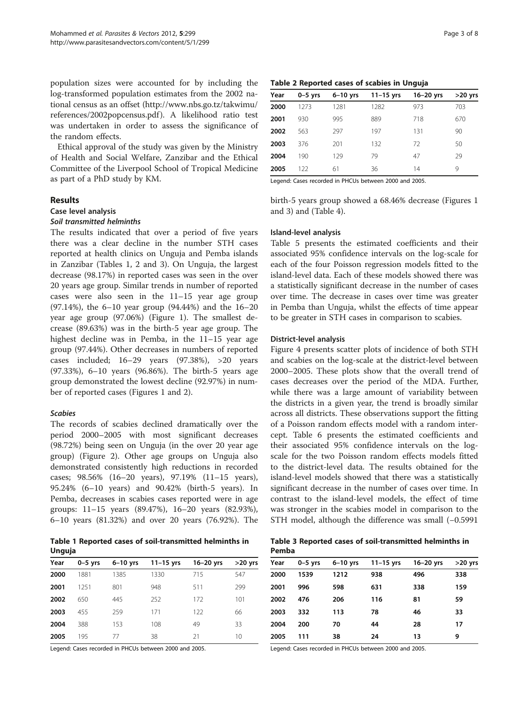population sizes were accounted for by including the log-transformed population estimates from the 2002 national census as an offset ([http://www.nbs.go.tz/takwimu/](http://www.nbs.go.tz/takwimu/references/2002popcensus.pdf) [references/2002popcensus.pdf](http://www.nbs.go.tz/takwimu/references/2002popcensus.pdf) ). A likelihood ratio test was undertaken in order to assess the significance of the random effects.

Ethical approval of the study was given by the Ministry of Health and Social Welfare, Zanzibar and the Ethical Committee of the Liverpool School of Tropical Medicine as part of a PhD study by KM.

### Results

#### Case level analysis

#### Soil transmitted helminths

The results indicated that over a period of five years there was a clear decline in the number STH cases reported at health clinics on Unguja and Pemba islands in Zanzibar (Tables 1, 2 and 3). On Unguja, the largest decrease (98.17%) in reported cases was seen in the over 20 years age group. Similar trends in number of reported cases were also seen in the 11–15 year age group (97.14%), the 6–10 year group (94.44%) and the 16–20 year age group (97.06%) (Figure [1\)](#page-3-0). The smallest decrease (89.63%) was in the birth-5 year age group. The highest decline was in Pemba, in the 11–15 year age group (97.44%). Other decreases in numbers of reported cases included; 16–29 years (97.38%), >20 years (97.33%), 6–10 years (96.86%). The birth-5 years age group demonstrated the lowest decline (92.97%) in number of reported cases (Figures [1](#page-3-0) and [2\)](#page-4-0).

#### Scabies

The records of scabies declined dramatically over the period 2000–2005 with most significant decreases (98.72%) being seen on Unguja (in the over 20 year age group) (Figure [2](#page-4-0)). Other age groups on Unguja also demonstrated consistently high reductions in recorded cases; 98.56% (16–20 years), 97.19% (11–15 years), 95.24% (6–10 years) and 90.42% (birth-5 years). In Pemba, decreases in scabies cases reported were in age groups: 11–15 years (89.47%), 16–20 years (82.93%), 6–10 years (81.32%) and over 20 years (76.92%). The

Table 1 Reported cases of soil-transmitted helminths in Unguja

| Year | $0-5$ yrs    | $6-10$ yrs | $11-15$ yrs | $16-20$ yrs | $>20$ yrs |  |
|------|--------------|------------|-------------|-------------|-----------|--|
| 2000 | 1881<br>1385 |            | 1330        | 715         | 547       |  |
| 2001 | 1251         | 801        | 948         | 511         | 299       |  |
| 2002 | 650          | 445        | 252         | 172         | 101       |  |
| 2003 | 455          | 259        | 171         | 122         | 66        |  |
| 2004 | 388          | 153        | 108         | 49          | 33        |  |
| 2005 | 195          | 77         | 38          | 21          | $10 \,$   |  |

Legend: Cases recorded in PHCUs between 2000 and 2005.

#### Table 2 Reported cases of scabies in Unguja

| Year | $0-5$ yrs | $6-10$ yrs | $11-15$ yrs | 16-20 yrs | $>20$ yrs |  |
|------|-----------|------------|-------------|-----------|-----------|--|
| 2000 | 1273      | 1281       | 1282        | 973       | 703       |  |
| 2001 | 930       | 995        | 889         | 718       | 670       |  |
| 2002 | 563       | 297        | 197         | 131       | 90        |  |
| 2003 | 376       | 201        | 132         | 72        | 50        |  |
| 2004 | 190       | 129        | 79          | 47        | 29        |  |
| 2005 | 122       | 61         | 36          | 14        | 9         |  |

Legend: Cases recorded in PHCUs between 2000 and 2005.

birth-5 years group showed a 68.46% decrease (Figures [1](#page-3-0) and [3](#page-4-0)) and (Table [4\)](#page-5-0).

#### Island-level analysis

Table [5](#page-5-0) presents the estimated coefficients and their associated 95% confidence intervals on the log-scale for each of the four Poisson regression models fitted to the island-level data. Each of these models showed there was a statistically significant decrease in the number of cases over time. The decrease in cases over time was greater in Pemba than Unguja, whilst the effects of time appear to be greater in STH cases in comparison to scabies.

#### District-level analysis

Figure [4](#page-6-0) presents scatter plots of incidence of both STH and scabies on the log-scale at the district-level between 2000–2005. These plots show that the overall trend of cases decreases over the period of the MDA. Further, while there was a large amount of variability between the districts in a given year, the trend is broadly similar across all districts. These observations support the fitting of a Poisson random effects model with a random intercept. Table [6](#page-6-0) presents the estimated coefficients and their associated 95% confidence intervals on the logscale for the two Poisson random effects models fitted to the district-level data. The results obtained for the island-level models showed that there was a statistically significant decrease in the number of cases over time. In contrast to the island-level models, the effect of time was stronger in the scabies model in comparison to the STH model, although the difference was small (−0.5991

Table 3 Reported cases of soil-transmitted helminths in Pemba

| Year | $0-5$ yrs | $6-10$ yrs | $11-15$ yrs | $16-20$ yrs | $>20$ yrs |  |
|------|-----------|------------|-------------|-------------|-----------|--|
| 2000 | 1539      | 1212       | 938         | 496         | 338       |  |
| 2001 | 996       | 598        | 631         | 338         | 159       |  |
| 2002 | 476       | 206        | 116         | 81          | 59        |  |
| 2003 | 332       | 113        | 78          | 46          | 33        |  |
| 2004 | 200       | 70         | 44          | 28          | 17        |  |
| 2005 | 111       | 38         | 24          | 13          | 9         |  |

Legend: Cases recorded in PHCUs between 2000 and 2005.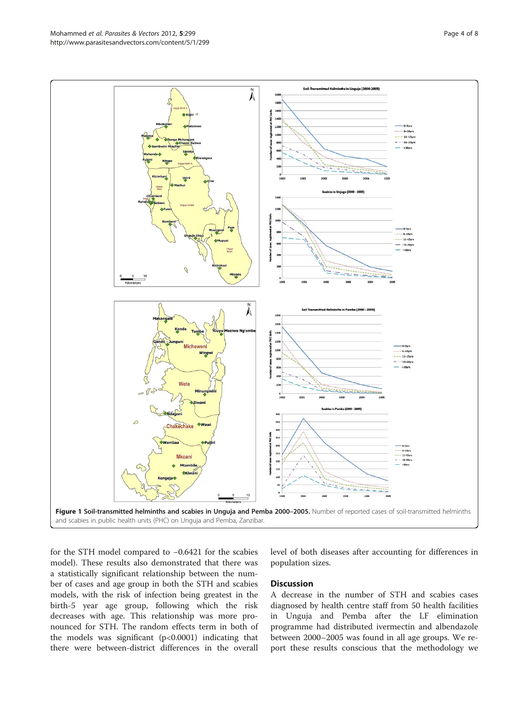for the STH model compared to −0.6421 for the scabies model). These results also demonstrated that there was a statistically significant relationship between the number of cases and age group in both the STH and scabies models, with the risk of infection being greatest in the birth-5 year age group, following which the risk decreases with age. This relationship was more pronounced for STH. The random effects term in both of the models was significant  $(p<0.0001)$  indicating that there were between-district differences in the overall

level of both diseases after accounting for differences in population sizes.

# **Discussion**

A decrease in the number of STH and scabies cases diagnosed by health centre staff from 50 health facilities in Unguja and Pemba after the LF elimination programme had distributed ivermectin and albendazole between 2000–2005 was found in all age groups. We report these results conscious that the methodology we

<span id="page-3-0"></span>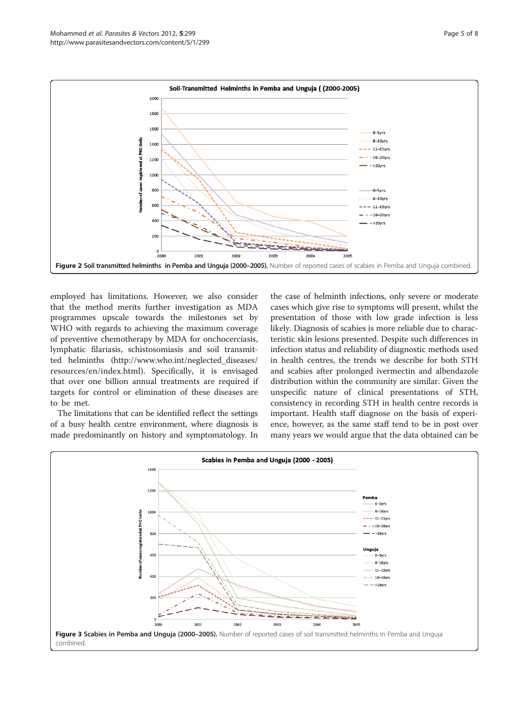<span id="page-4-0"></span>

employed has limitations. However, we also consider that the method merits further investigation as MDA programmes upscale towards the milestones set by WHO with regards to achieving the maximum coverage of preventive chemotherapy by MDA for onchocerciasis, lymphatic filariasis, schistosomiasis and soil transmitted helminths [\(http://www.who.int/neglected\\_diseases/](http://www.who.int/neglected_diseases/resources/en/index.html) [resources/en/index.html](http://www.who.int/neglected_diseases/resources/en/index.html)). Specifically, it is envisaged that over one billion annual treatments are required if targets for control or elimination of these diseases are to be met.

The limitations that can be identified reflect the settings of a busy health centre environment, where diagnosis is made predominantly on history and symptomatology. In

the case of helminth infections, only severe or moderate cases which give rise to symptoms will present, whilst the presentation of those with low grade infection is less likely. Diagnosis of scabies is more reliable due to characteristic skin lesions presented. Despite such differences in infection status and reliability of diagnostic methods used in health centres, the trends we describe for both STH and scabies after prolonged ivermectin and albendazole distribution within the community are similar. Given the unspecific nature of clinical presentations of STH, consistency in recording STH in health centre records is important. Health staff diagnose on the basis of experience, however, as the same staff tend to be in post over many years we would argue that the data obtained can be

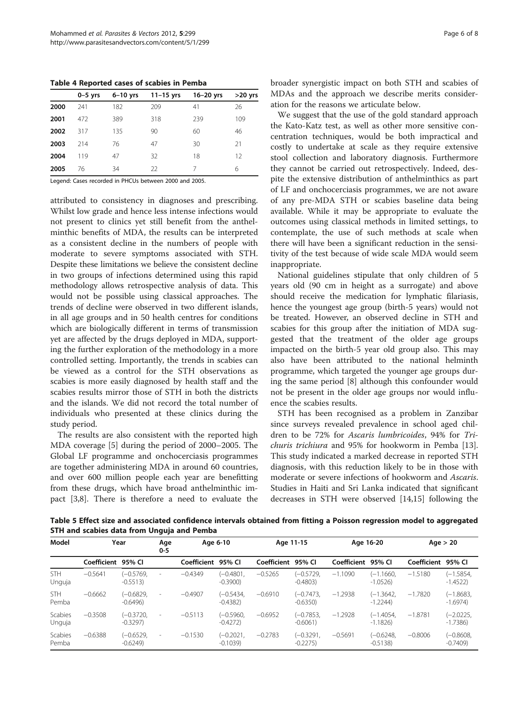<span id="page-5-0"></span>Table 4 Reported cases of scabies in Pemba

|      | $0-5$ yrs  | $6-10$ yrs | $11-15$ yrs | $16-20$ yrs | $>20$ yrs |  |
|------|------------|------------|-------------|-------------|-----------|--|
| 2000 | 182<br>241 |            | 209         | 41          | 26        |  |
| 2001 | 472        | 389        | 318         | 239         | 109       |  |
| 2002 | 317        | 135        | 90          | 60          | 46        |  |
| 2003 | 214        | 76         | 47          | 30          | 21        |  |
| 2004 | 119        | 47         | 32          | 18          | 12        |  |
| 2005 | 76         | 34         | 22          |             | 6         |  |

Legend: Cases recorded in PHCUs between 2000 and 2005.

attributed to consistency in diagnoses and prescribing. Whilst low grade and hence less intense infections would not present to clinics yet still benefit from the anthelminthic benefits of MDA, the results can be interpreted as a consistent decline in the numbers of people with moderate to severe symptoms associated with STH. Despite these limitations we believe the consistent decline in two groups of infections determined using this rapid methodology allows retrospective analysis of data. This would not be possible using classical approaches. The trends of decline were observed in two different islands, in all age groups and in 50 health centres for conditions which are biologically different in terms of transmission yet are affected by the drugs deployed in MDA, supporting the further exploration of the methodology in a more controlled setting. Importantly, the trends in scabies can be viewed as a control for the STH observations as scabies is more easily diagnosed by health staff and the scabies results mirror those of STH in both the districts and the islands. We did not record the total number of individuals who presented at these clinics during the study period.

The results are also consistent with the reported high MDA coverage [\[5](#page-7-0)] during the period of 2000–2005. The Global LF programme and onchocerciasis programmes are together administering MDA in around 60 countries, and over 600 million people each year are benefitting from these drugs, which have broad anthelminthic impact [[3,8\]](#page-7-0). There is therefore a need to evaluate the

We suggest that the use of the gold standard approach the Kato-Katz test, as well as other more sensitive concentration techniques, would be both impractical and costly to undertake at scale as they require extensive stool collection and laboratory diagnosis. Furthermore they cannot be carried out retrospectively. Indeed, despite the extensive distribution of anthelminthics as part of LF and onchocerciasis programmes, we are not aware of any pre-MDA STH or scabies baseline data being available. While it may be appropriate to evaluate the outcomes using classical methods in limited settings, to contemplate, the use of such methods at scale when there will have been a significant reduction in the sensitivity of the test because of wide scale MDA would seem inappropriate.

National guidelines stipulate that only children of 5 years old (90 cm in height as a surrogate) and above should receive the medication for lymphatic filariasis, hence the youngest age group (birth-5 years) would not be treated. However, an observed decline in STH and scabies for this group after the initiation of MDA suggested that the treatment of the older age groups impacted on the birth-5 year old group also. This may also have been attributed to the national helminth programme, which targeted the younger age groups during the same period [\[8\]](#page-7-0) although this confounder would not be present in the older age groups nor would influence the scabies results.

STH has been recognised as a problem in Zanzibar since surveys revealed prevalence in school aged children to be 72% for Ascaris lumbricoides, 94% for Trichuris trichiura and 95% for hookworm in Pemba [\[13](#page-7-0)]. This study indicated a marked decrease in reported STH diagnosis, with this reduction likely to be in those with moderate or severe infections of hookworm and Ascaris. Studies in Haiti and Sri Lanka indicated that significant decreases in STH were observed [\[14,15](#page-7-0)] following the

Table 5 Effect size and associated confidence intervals obtained from fitting a Poisson regression model to aggregated STH and scabies data from Unguja and Pemba

| Model                | Year        |                          | Age<br>0-5               |             | Age 6-10                 |             | Age 11-15                |             | Age 16-20                |             | Age $> 20$               |  |
|----------------------|-------------|--------------------------|--------------------------|-------------|--------------------------|-------------|--------------------------|-------------|--------------------------|-------------|--------------------------|--|
|                      | Coefficient | 95% CI                   |                          | Coefficient | 95% CI                   | Coefficient | 95% CI                   | Coefficient | 95% CI                   | Coefficient | 95% CI                   |  |
| <b>STH</b><br>Unguja | $-0.5641$   | (-0.5769,<br>$-0.5513$   | ٠                        | $-0.4349$   | $(-0.4801.$<br>$-0.3900$ | $-0.5265$   | $(-0.5729.$<br>$-0.4803$ | $-1.1090$   | (–1.1660.<br>$-1.0526$   | $-1.5180$   | $(-1.5854,$<br>$-1.4522$ |  |
| <b>STH</b><br>Pemba  | $-0.6662$   | (-0.6829.<br>$-0.6496$   | $\overline{\phantom{a}}$ | $-0.4907$   | $(-0.5434)$<br>$-0.4382$ | $-0.6910$   | $(-0.7473.$<br>$-0.6350$ | $-1.2938$   | $(-1.3642.$<br>$-1.2244$ | $-1.7820$   | $(-1.8683,$<br>$-1.6974$ |  |
| Scabies<br>Unguja    | $-0.3508$   | $(-0.3720.$<br>$-0.3297$ | $\overline{\phantom{a}}$ | $-0.5113$   | $(-0.5960.$<br>$-0.4272$ | $-0.6952$   | $(-0.7853.$<br>$-0.6061$ | $-1.2928$   | (-1.4054.<br>$-1.1826$   | $-1.8781$   | $(-2.0225.$<br>$-1.7386$ |  |
| Scabies<br>Pemba     | $-0.6388$   | (-0.6529,<br>$-0.6249$   | $\overline{\phantom{a}}$ | $-0.1530$   | $(-0.2021)$<br>$-0.1039$ | $-0.2783$   | $(-0.3291.$<br>$-0.2275$ | $-0.5691$   | (-0.6248.<br>$-0.5138$   | $-0.8006$   | $(-0.8608)$<br>$-0.7409$ |  |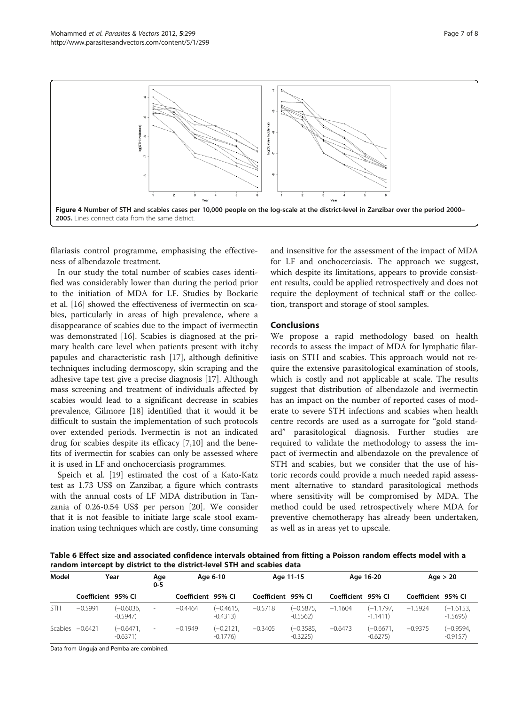<span id="page-6-0"></span>

filariasis control programme, emphasising the effectiveness of albendazole treatment.

In our study the total number of scabies cases identified was considerably lower than during the period prior to the initiation of MDA for LF. Studies by Bockarie et al. [[16\]](#page-7-0) showed the effectiveness of ivermectin on scabies, particularly in areas of high prevalence, where a disappearance of scabies due to the impact of ivermectin was demonstrated [\[16\]](#page-7-0). Scabies is diagnosed at the primary health care level when patients present with itchy papules and characteristic rash [[17\]](#page-7-0), although definitive techniques including dermoscopy, skin scraping and the adhesive tape test give a precise diagnosis [[17\]](#page-7-0). Although mass screening and treatment of individuals affected by scabies would lead to a significant decrease in scabies prevalence, Gilmore [[18\]](#page-7-0) identified that it would it be difficult to sustain the implementation of such protocols over extended periods. Ivermectin is not an indicated drug for scabies despite its efficacy [[7,10\]](#page-7-0) and the benefits of ivermectin for scabies can only be assessed where it is used in LF and onchocerciasis programmes.

Speich et al. [\[19\]](#page-7-0) estimated the cost of a Kato-Katz test as 1.73 US\$ on Zanzibar, a figure which contrasts with the annual costs of LF MDA distribution in Tanzania of 0.26-0.54 US\$ per person [[20\]](#page-7-0). We consider that it is not feasible to initiate large scale stool examination using techniques which are costly, time consuming

and insensitive for the assessment of the impact of MDA for LF and onchocerciasis. The approach we suggest, which despite its limitations, appears to provide consistent results, could be applied retrospectively and does not require the deployment of technical staff or the collection, transport and storage of stool samples.

#### Conclusions

We propose a rapid methodology based on health records to assess the impact of MDA for lymphatic filariasis on STH and scabies. This approach would not require the extensive parasitological examination of stools, which is costly and not applicable at scale. The results suggest that distribution of albendazole and ivermectin has an impact on the number of reported cases of moderate to severe STH infections and scabies when health centre records are used as a surrogate for "gold standard" parasitological diagnosis. Further studies are required to validate the methodology to assess the impact of ivermectin and albendazole on the prevalence of STH and scabies, but we consider that the use of historic records could provide a much needed rapid assessment alternative to standard parasitological methods where sensitivity will be compromised by MDA. The method could be used retrospectively where MDA for preventive chemotherapy has already been undertaken, as well as in areas yet to upscale.

Table 6 Effect size and associated confidence intervals obtained from fitting a Poisson random effects model with a random intercept by district to the district-level STH and scabies data

| Model      |                    | Year                   | Age<br>$0 - 5$           |                    | Age 6-10                 |                    | Age 11-15                |                    | Age 16-20                |                    | Age $> 20$               |  |
|------------|--------------------|------------------------|--------------------------|--------------------|--------------------------|--------------------|--------------------------|--------------------|--------------------------|--------------------|--------------------------|--|
|            | Coefficient 95% CI |                        |                          | Coefficient 95% CI |                          | Coefficient 95% CI |                          | Coefficient 95% CI |                          | Coefficient 95% CI |                          |  |
| <b>STH</b> | $-0.5991$          | (-0.6036,<br>$-0.5947$ | $\overline{\phantom{a}}$ | $-0.4464$          | $(-0.4615.$<br>$-0.4313$ | $-0.5718$          | $(-0.5875.$<br>$-0.5562$ | $-1.1604$          | $(-1.1797.$<br>$-1.1411$ | $-1.5924$          | $(-1.6153.$<br>$-1.5695$ |  |
| Scabies    | $-0.6421$          | (–0.6471.<br>$-0.6371$ | $\overline{\phantom{a}}$ | $-0.1949$          | $(-0.2121)$<br>$-0.1776$ | $-0.3405$          | (-0.3585.<br>$-0.3225$   | $-0.6473$          | $(-0.6671)$<br>$-0.6275$ | $-0.9375$          | (-0.9594,<br>$-0.9157$   |  |

Data from Unguja and Pemba are combined.